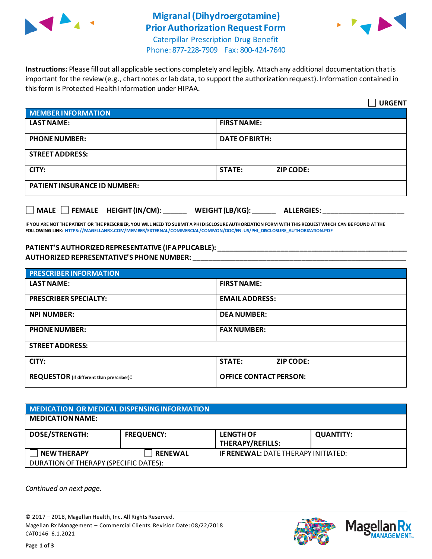

## **Migranal(Dihydroergotamine) Prior Authorization Request Form**



Caterpillar Prescription Drug Benefit Phone: 877-228-7909 Fax: 800-424-7640

**Instructions:** Please fill out all applicable sections completely and legibly. Attach any additional documentation that is important for the review (e.g., chart notes or lab data, to support the authorization request). Information contained in this form is Protected Health Information under HIPAA.

|                                                   | <b>URGENT</b>                               |  |
|---------------------------------------------------|---------------------------------------------|--|
| <b>MEMBER INFORMATION</b>                         |                                             |  |
| <b>LAST NAME:</b>                                 | <b>FIRST NAME:</b>                          |  |
| <b>PHONE NUMBER:</b>                              | <b>DATE OF BIRTH:</b>                       |  |
| <b>STREET ADDRESS:</b>                            |                                             |  |
| CITY:                                             | <b>STATE:</b><br><b>ZIP CODE:</b>           |  |
| <b>PATIENT INSURANCE ID NUMBER:</b>               |                                             |  |
| $\vert$ MALE $\Box$ FEMALE HEIGHT (IN/CM): ______ | WEIGHT (LB/KG): $\_\_$<br><b>ALLERGIES:</b> |  |

**IF YOU ARE NOT THE PATIENT OR THE PRESCRIBER, YOU WILL NEED TO SUBMIT A PHI DISCLOSURE AUTHORIZATION FORM WITH THIS REQUEST WHICH CAN BE FOUND AT THE FOLLOWING LINK[: HTTPS://MAGELLANRX.COM/MEMBER/EXTERNAL/COMMERCIAL/COMMON/DOC/EN-US/PHI\\_DISCLOSURE\\_AUTHORIZATION.PDF](https://magellanrx.com/member/external/commercial/common/doc/en-us/PHI_Disclosure_Authorization.pdf)**

## **PATIENT'S AUTHORIZED REPRESENTATIVE (IF APPLICABLE): \_\_\_\_\_\_\_\_\_\_\_\_\_\_\_\_\_\_\_\_\_\_\_\_\_\_\_\_\_\_\_\_\_\_\_\_\_\_\_\_\_\_\_\_\_\_\_\_\_ AUTHORIZED REPRESENTATIVE'S PHONE NUMBER: \_\_\_\_\_\_\_\_\_\_\_\_\_\_\_\_\_\_\_\_\_\_\_\_\_\_\_\_\_\_\_\_\_\_\_\_\_\_\_\_\_\_\_\_\_\_\_\_\_\_\_\_\_\_\_**

| <b>PRESCRIBER INFORMATION</b>             |                               |  |
|-------------------------------------------|-------------------------------|--|
| <b>LAST NAME:</b>                         | <b>FIRST NAME:</b>            |  |
| <b>PRESCRIBER SPECIALTY:</b>              | <b>EMAIL ADDRESS:</b>         |  |
| <b>NPI NUMBER:</b>                        | <b>DEA NUMBER:</b>            |  |
| <b>PHONE NUMBER:</b>                      | <b>FAX NUMBER:</b>            |  |
| <b>STREET ADDRESS:</b>                    |                               |  |
| CITY:                                     | <b>STATE:</b><br>ZIP CODE:    |  |
| REQUESTOR (if different than prescriber): | <b>OFFICE CONTACT PERSON:</b> |  |

| MEDICATION OR MEDICAL DISPENSING INFORMATION |                   |                                            |                  |  |  |
|----------------------------------------------|-------------------|--------------------------------------------|------------------|--|--|
| <b>MEDICATION NAME:</b>                      |                   |                                            |                  |  |  |
| <b>DOSE/STRENGTH:</b>                        | <b>FREQUENCY:</b> | <b>LENGTH OF</b><br>THERAPY/REFILLS:       | <b>QUANTITY:</b> |  |  |
| <b>NEW THERAPY</b>                           | <b>RENEWAL</b>    | <b>IF RENEWAL: DATE THERAPY INITIATED:</b> |                  |  |  |
| DURATION OF THERAPY (SPECIFIC DATES):        |                   |                                            |                  |  |  |

*Continued on next page.*

© 2017 – 2018, Magellan Health, Inc. All Rights Reserved. Magellan Rx Management – Commercial Clients. Revision Date: 08/22/2018 CAT0146 6.1.2021



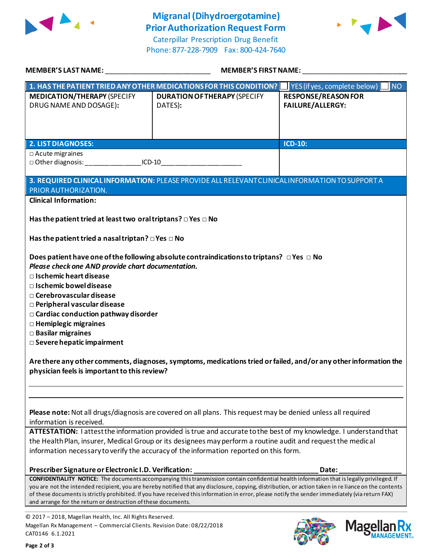

## **Migranal(Dihydroergotamine) Prior Authorization Request Form**

Caterpillar Prescription Drug Benefit Phone: 877-228-7909 Fax: 800-424-7640



| MEMBER'S LAST NAME:                                                                                                                                                                                                                                                                                                                                                              | <b>MEMBER'S FIRST NAME:</b>                                                                                                                                                                                                                                                                                                                                                                                                                                    |                                                          |
|----------------------------------------------------------------------------------------------------------------------------------------------------------------------------------------------------------------------------------------------------------------------------------------------------------------------------------------------------------------------------------|----------------------------------------------------------------------------------------------------------------------------------------------------------------------------------------------------------------------------------------------------------------------------------------------------------------------------------------------------------------------------------------------------------------------------------------------------------------|----------------------------------------------------------|
|                                                                                                                                                                                                                                                                                                                                                                                  | 1. HAS THE PATIENT TRIED ANY OTHER MEDICATIONS FOR THIS CONDITION?                                                                                                                                                                                                                                                                                                                                                                                             | $\blacksquare$ YES (if yes, complete below)<br><b>NO</b> |
| <b>MEDICATION/THERAPY (SPECIFY</b><br>DRUG NAME AND DOSAGE):                                                                                                                                                                                                                                                                                                                     | <b>DURATION OF THERAPY (SPECIFY</b><br>DATES):                                                                                                                                                                                                                                                                                                                                                                                                                 | <b>RESPONSE/REASON FOR</b><br><b>FAILURE/ALLERGY:</b>    |
| <b>2. LIST DIAGNOSES:</b>                                                                                                                                                                                                                                                                                                                                                        |                                                                                                                                                                                                                                                                                                                                                                                                                                                                | <b>ICD-10:</b>                                           |
| $\Box$ Acute migraines                                                                                                                                                                                                                                                                                                                                                           |                                                                                                                                                                                                                                                                                                                                                                                                                                                                |                                                          |
| □ Other diagnosis: ___________________ICD-10___________________________________                                                                                                                                                                                                                                                                                                  |                                                                                                                                                                                                                                                                                                                                                                                                                                                                |                                                          |
|                                                                                                                                                                                                                                                                                                                                                                                  | 3. REQUIRED CLINICAL INFORMATION: PLEASE PROVIDE ALL RELEVANT CLINICAL INFORMATION TO SUPPORT A                                                                                                                                                                                                                                                                                                                                                                |                                                          |
| PRIOR AUTHORIZATION.                                                                                                                                                                                                                                                                                                                                                             |                                                                                                                                                                                                                                                                                                                                                                                                                                                                |                                                          |
| <b>Clinical Information:</b>                                                                                                                                                                                                                                                                                                                                                     |                                                                                                                                                                                                                                                                                                                                                                                                                                                                |                                                          |
| Has the patient tried at least two oral triptans? $\Box$ Yes $\Box$ No                                                                                                                                                                                                                                                                                                           |                                                                                                                                                                                                                                                                                                                                                                                                                                                                |                                                          |
| Has the patient tried a nasal triptan? $\Box$ Yes $\Box$ No                                                                                                                                                                                                                                                                                                                      |                                                                                                                                                                                                                                                                                                                                                                                                                                                                |                                                          |
| Please check one AND provide chart documentation.<br>$\Box$ Ischemic heart disease<br>$\Box$ Ischemic bowel disease<br>$\Box$ Cerebrovascular disease<br><b>D</b> Peripheral vascular disease<br>$\Box$ Cardiac conduction pathway disorder<br>$\Box$ Hemiplegic migraines<br>□ Basilar migraines<br>□ Severe hepatic impairment<br>physician feels is important to this review? | Does patient have one of the following absolute contraindications to triptans? $\Box$ Yes $\Box$ No<br>Are there any other comments, diagnoses, symptoms, medications tried or failed, and/or any other information the                                                                                                                                                                                                                                        |                                                          |
|                                                                                                                                                                                                                                                                                                                                                                                  |                                                                                                                                                                                                                                                                                                                                                                                                                                                                |                                                          |
| information is received.                                                                                                                                                                                                                                                                                                                                                         | Please note: Not all drugs/diagnosis are covered on all plans. This request may be denied unless all required                                                                                                                                                                                                                                                                                                                                                  |                                                          |
|                                                                                                                                                                                                                                                                                                                                                                                  | ATTESTATION: I attest the information provided is true and accurate to the best of my knowledge. I understand that<br>the Health Plan, insurer, Medical Group or its designees may perform a routine audit and request the medical<br>information necessary to verify the accuracy of the information reported on this form.                                                                                                                                   |                                                          |
| Prescriber Signature or Electronic I.D. Verification:                                                                                                                                                                                                                                                                                                                            |                                                                                                                                                                                                                                                                                                                                                                                                                                                                | Date:                                                    |
| and arrange for the return or destruction of these documents.                                                                                                                                                                                                                                                                                                                    | <b>CONFIDENTIALITY NOTICE:</b> The documents accompanying this transmission contain confidential health information that is legally privileged. If<br>you are not the intended recipient, you are hereby notified that any disclosure, copying, distribution, or action taken in re liance on the contents<br>of these documents is strictly prohibited. If you have received this information in error, please notify the sender immediately (via return FAX) |                                                          |
| © 2017 - 2018, Magellan Health, Inc. All Rights Reserved.<br>Magellan Rx Management - Commercial Clients. Revision Date: 08/22/2018<br>CAT0146 6.1.2021                                                                                                                                                                                                                          |                                                                                                                                                                                                                                                                                                                                                                                                                                                                | <b>Mage</b>                                              |